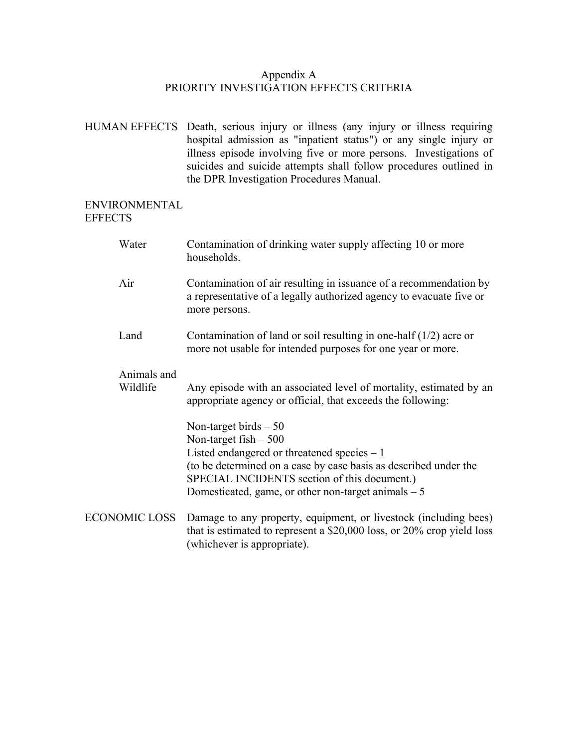## Appendix A PRIORITY INVESTIGATION EFFECTS CRITERIA

HUMAN EFFECTS Death, serious injury or illness (any injury or illness requiring hospital admission as "inpatient status") or any single injury or illness episode involving five or more persons. Investigations of suicides and suicide attempts shall follow procedures outlined in the DPR Investigation Procedures Manual.

## ENVIRONMENTAL **EFFECTS**

|                      | Water                   | Contamination of drinking water supply affecting 10 or more<br>households.                                                                                                                                                                                                   |
|----------------------|-------------------------|------------------------------------------------------------------------------------------------------------------------------------------------------------------------------------------------------------------------------------------------------------------------------|
|                      | Air                     | Contamination of air resulting in issuance of a recommendation by<br>a representative of a legally authorized agency to evacuate five or<br>more persons.                                                                                                                    |
|                      | Land                    | Contamination of land or soil resulting in one-half $(1/2)$ acre or<br>more not usable for intended purposes for one year or more.                                                                                                                                           |
|                      | Animals and<br>Wildlife | Any episode with an associated level of mortality, estimated by an<br>appropriate agency or official, that exceeds the following:                                                                                                                                            |
|                      |                         | Non-target birds $-50$<br>Non-target fish $-500$<br>Listed endangered or threatened species $-1$<br>(to be determined on a case by case basis as described under the<br>SPECIAL INCIDENTS section of this document.)<br>Domesticated, game, or other non-target animals $-5$ |
| <b>ECONOMIC LOSS</b> |                         | Damage to any property, equipment, or livestock (including bees)<br>that is estimated to represent a $$20,000$ loss, or 20% crop yield loss<br>(whichever is appropriate).                                                                                                   |